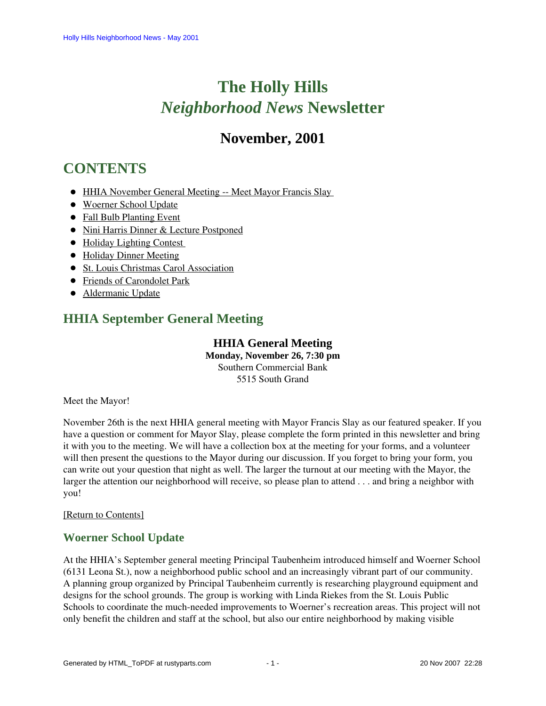# **The Holly Hills**  *Neighborhood News* **Newsletter**

## **November, 2001**

## <span id="page-0-2"></span>**CONTENTS**

- [HHIA November General Meeting -- Meet Mayor Francis Slay](#page-0-0)
- [Woerner School Update](#page-0-1)
- [Fall Bulb Planting Event](#page-1-0)
- [Nini Harris Dinner & Lecture Postponed](#page-1-1)
- Holiday Lighting Contest
- [Holiday Dinner Meeting](#page-1-3)
- [St. Louis Christmas Carol Association](#page-1-4)
- [Friends of Carondolet Park](#page-2-0)
- [Aldermanic Update](#page-2-1)

## <span id="page-0-0"></span>**HHIA September General Meeting**

### **HHIA General Meeting Monday, November 26, 7:30 pm** Southern Commercial Bank 5515 South Grand

Meet the Mayor!

November 26th is the next HHIA general meeting with Mayor Francis Slay as our featured speaker. If you have a question or comment for Mayor Slay, please complete the form printed in this newsletter and bring it with you to the meeting. We will have a collection box at the meeting for your forms, and a volunteer will then present the questions to the Mayor during our discussion. If you forget to bring your form, you can write out your question that night as well. The larger the turnout at our meeting with the Mayor, the larger the attention our neighborhood will receive, so please plan to attend . . . and bring a neighbor with you!

### [\[Return to Contents\]](#page-0-2)

### <span id="page-0-1"></span>**Woerner School Update**

At the HHIA's September general meeting Principal Taubenheim introduced himself and Woerner School (6131 Leona St.), now a neighborhood public school and an increasingly vibrant part of our community. A planning group organized by Principal Taubenheim currently is researching playground equipment and designs for the school grounds. The group is working with Linda Riekes from the St. Louis Public Schools to coordinate the much-needed improvements to Woerner's recreation areas. This project will not only benefit the children and staff at the school, but also our entire neighborhood by making visible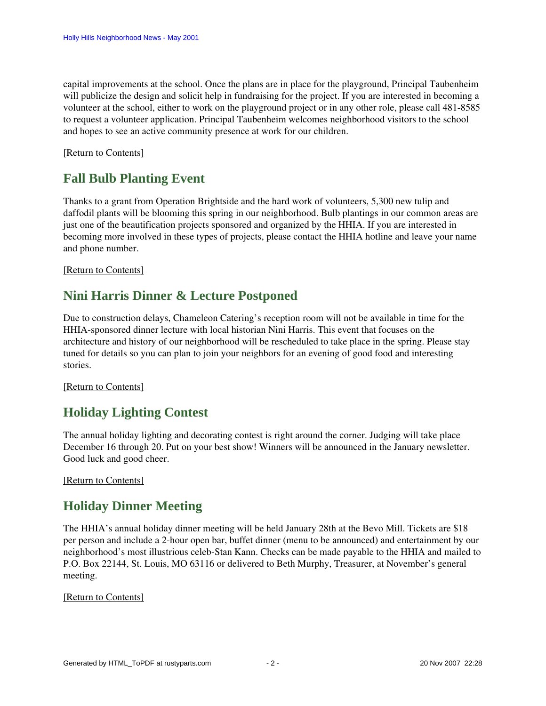capital improvements at the school. Once the plans are in place for the playground, Principal Taubenheim will publicize the design and solicit help in fundraising for the project. If you are interested in becoming a volunteer at the school, either to work on the playground project or in any other role, please call 481-8585 to request a volunteer application. Principal Taubenheim welcomes neighborhood visitors to the school and hopes to see an active community presence at work for our children.

#### <span id="page-1-0"></span>[\[Return to Contents\]](#page-0-2)

### **Fall Bulb Planting Event**

Thanks to a grant from Operation Brightside and the hard work of volunteers, 5,300 new tulip and daffodil plants will be blooming this spring in our neighborhood. Bulb plantings in our common areas are just one of the beautification projects sponsored and organized by the HHIA. If you are interested in becoming more involved in these types of projects, please contact the HHIA hotline and leave your name and phone number.

#### <span id="page-1-1"></span>[\[Return to Contents\]](#page-0-2)

### **Nini Harris Dinner & Lecture Postponed**

Due to construction delays, Chameleon Catering's reception room will not be available in time for the HHIA-sponsored dinner lecture with local historian Nini Harris. This event that focuses on the architecture and history of our neighborhood will be rescheduled to take place in the spring. Please stay tuned for details so you can plan to join your neighbors for an evening of good food and interesting stories.

#### <span id="page-1-2"></span>[\[Return to Contents\]](#page-0-2)

### **Holiday Lighting Contest**

The annual holiday lighting and decorating contest is right around the corner. Judging will take place December 16 through 20. Put on your best show! Winners will be announced in the January newsletter. Good luck and good cheer.

<span id="page-1-3"></span>[\[Return to Contents\]](#page-0-2) 

### **Holiday Dinner Meeting**

The HHIA's annual holiday dinner meeting will be held January 28th at the Bevo Mill. Tickets are \$18 per person and include a 2-hour open bar, buffet dinner (menu to be announced) and entertainment by our neighborhood's most illustrious celeb-Stan Kann. Checks can be made payable to the HHIA and mailed to P.O. Box 22144, St. Louis, MO 63116 or delivered to Beth Murphy, Treasurer, at November's general meeting.

#### <span id="page-1-4"></span>[\[Return to Contents\]](#page-0-2)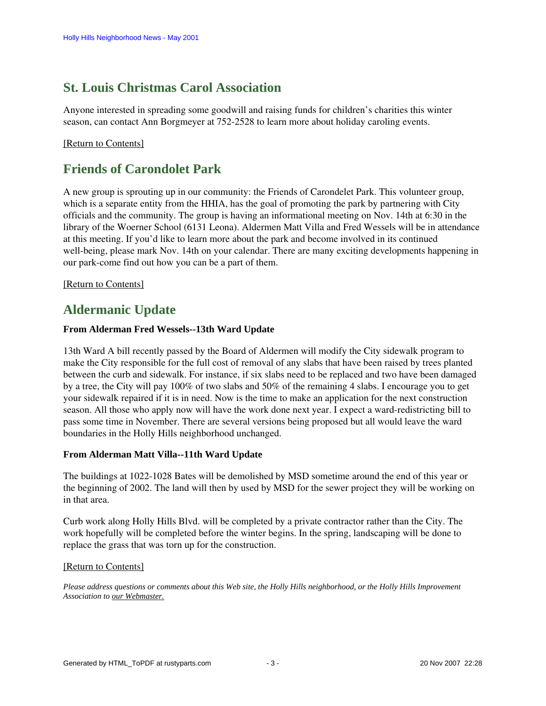### **St. Louis Christmas Carol Association**

Anyone interested in spreading some goodwill and raising funds for children's charities this winter season, can contact Ann Borgmeyer at 752-2528 to learn more about holiday caroling events.

#### [\[Return to Contents\]](#page-0-2)

### <span id="page-2-0"></span>**Friends of Carondolet Park**

A new group is sprouting up in our community: the Friends of Carondelet Park. This volunteer group, which is a separate entity from the HHIA, has the goal of promoting the park by partnering with City officials and the community. The group is having an informational meeting on Nov. 14th at 6:30 in the library of the Woerner School (6131 Leona). Aldermen Matt Villa and Fred Wessels will be in attendance at this meeting. If you'd like to learn more about the park and become involved in its continued well-being, please mark Nov. 14th on your calendar. There are many exciting developments happening in our park-come find out how you can be a part of them.

[\[Return to Contents\]](#page-0-2)

### <span id="page-2-1"></span>**Aldermanic Update**

#### **From Alderman Fred Wessels--13th Ward Update**

13th Ward A bill recently passed by the Board of Aldermen will modify the City sidewalk program to make the City responsible for the full cost of removal of any slabs that have been raised by trees planted between the curb and sidewalk. For instance, if six slabs need to be replaced and two have been damaged by a tree, the City will pay 100% of two slabs and 50% of the remaining 4 slabs. I encourage you to get your sidewalk repaired if it is in need. Now is the time to make an application for the next construction season. All those who apply now will have the work done next year. I expect a ward-redistricting bill to pass some time in November. There are several versions being proposed but all would leave the ward boundaries in the Holly Hills neighborhood unchanged.

#### **From Alderman Matt Villa--11th Ward Update**

The buildings at 1022-1028 Bates will be demolished by MSD sometime around the end of this year or the beginning of 2002. The land will then by used by MSD for the sewer project they will be working on in that area.

Curb work along Holly Hills Blvd. will be completed by a private contractor rather than the City. The work hopefully will be completed before the winter begins. In the spring, landscaping will be done to replace the grass that was torn up for the construction.

#### [\[Return to Contents\]](#page-0-2)

*Please address questions or comments about this Web site, the Holly Hills neighborhood, or the Holly Hills Improvement Association to our Webmaster.*